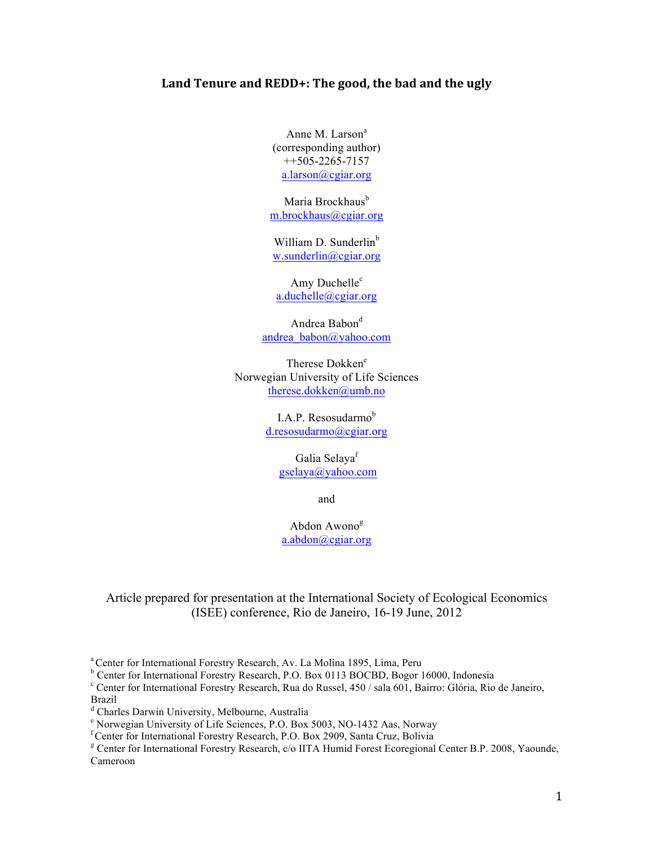## Land Tenure and REDD+: The good, the bad and the ugly

Anne M. Larson<sup>a</sup> (corresponding author) ++505-2265-7157 a.larson@cgiar.org

Maria Brockhaus<sup>b</sup> m.brockhaus@cgiar.org

William D. Sunderlin<sup>b</sup> w.sunderlin@cgiar.org

Amy Duchelle<sup>c</sup> a.duchelle@cgiar.org

Andrea Babon<sup>d</sup> andrea\_babon@yahoo.com

Therese Dokken<sup>e</sup> Norwegian University of Life Sciences therese.dokken@umb.no

> I.A.P. Resosudarmo $<sup>b</sup>$ </sup> d.resosudarmo@cgiar.org

> > Galia Selaya<sup>f</sup> gselaya@yahoo.com

> > > and

Abdon Awono<sup>g</sup> a.abdon@cgiar.org

Article prepared for presentation at the International Society of Ecological Economics (ISEE) conference, Rio de Janeiro, 16-19 June, 2012

<sup>c</sup> Center for International Forestry Research, Rua do Russel, 450 / sala 601, Bairro: Glória, Rio de Janeiro, Brazil<br><sup>d</sup> Charles Darwin University, Melbourne, Australia

<sup>e</sup> Norwegian University of Life Sciences, P.O. Box 5003, NO-1432 Aas, Norway f Center for International Forestry Research, P.O. Box 2909, Santa Cruz, Bolivia

<sup>g</sup> Center for International Forestry Research, c/o IITA Humid Forest Ecoregional Center B.P. 2008, Yaounde, Cameroon

<sup>&</sup>lt;sup>a</sup> Center for International Forestry Research, Av. La Molina 1895, Lima, Peru<br><sup>b</sup> Center for International Forestry Research, P.O. Box 0113 BOCBD, Bogor 16000, Indonesia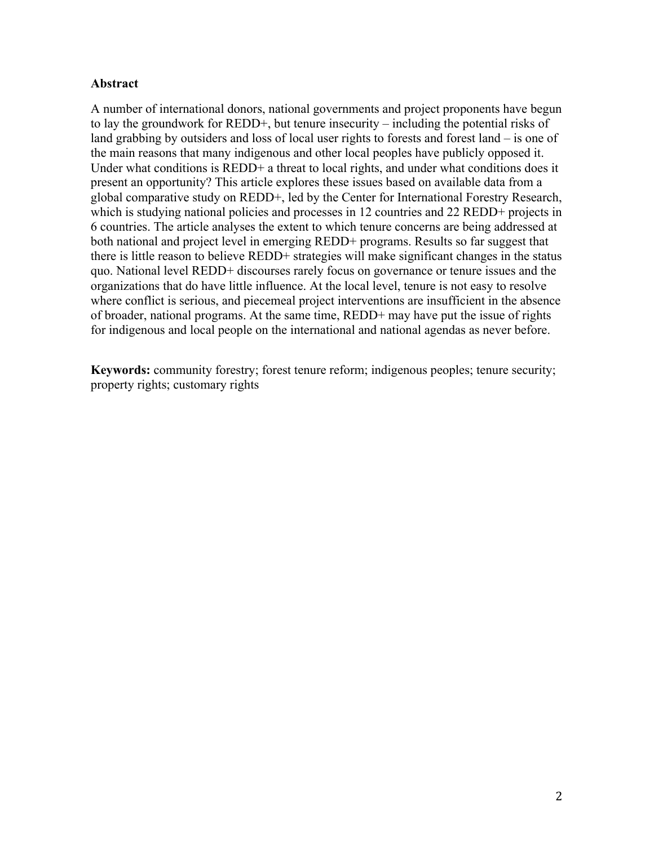## **Abstract**

A number of international donors, national governments and project proponents have begun to lay the groundwork for REDD+, but tenure insecurity – including the potential risks of land grabbing by outsiders and loss of local user rights to forests and forest land – is one of the main reasons that many indigenous and other local peoples have publicly opposed it. Under what conditions is REDD+ a threat to local rights, and under what conditions does it present an opportunity? This article explores these issues based on available data from a global comparative study on REDD+, led by the Center for International Forestry Research, which is studying national policies and processes in 12 countries and 22 REDD+ projects in 6 countries. The article analyses the extent to which tenure concerns are being addressed at both national and project level in emerging REDD+ programs. Results so far suggest that there is little reason to believe REDD+ strategies will make significant changes in the status quo. National level REDD+ discourses rarely focus on governance or tenure issues and the organizations that do have little influence. At the local level, tenure is not easy to resolve where conflict is serious, and piecemeal project interventions are insufficient in the absence of broader, national programs. At the same time, REDD+ may have put the issue of rights for indigenous and local people on the international and national agendas as never before.

**Keywords:** community forestry; forest tenure reform; indigenous peoples; tenure security; property rights; customary rights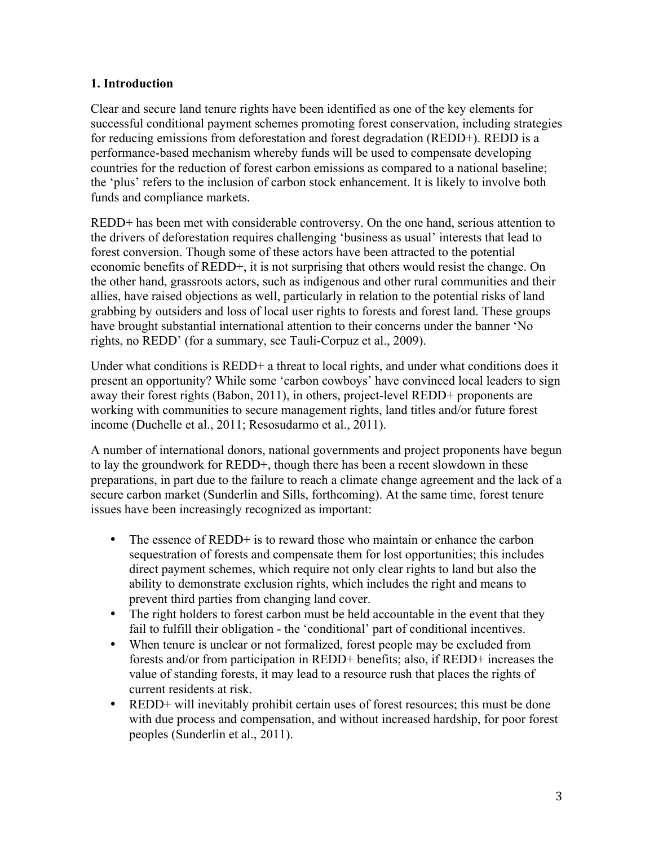# **1. Introduction**

Clear and secure land tenure rights have been identified as one of the key elements for successful conditional payment schemes promoting forest conservation, including strategies for reducing emissions from deforestation and forest degradation (REDD+). REDD is a performance-based mechanism whereby funds will be used to compensate developing countries for the reduction of forest carbon emissions as compared to a national baseline; the 'plus' refers to the inclusion of carbon stock enhancement. It is likely to involve both funds and compliance markets.

REDD+ has been met with considerable controversy. On the one hand, serious attention to the drivers of deforestation requires challenging 'business as usual' interests that lead to forest conversion. Though some of these actors have been attracted to the potential economic benefits of REDD+, it is not surprising that others would resist the change. On the other hand, grassroots actors, such as indigenous and other rural communities and their allies, have raised objections as well, particularly in relation to the potential risks of land grabbing by outsiders and loss of local user rights to forests and forest land. These groups have brought substantial international attention to their concerns under the banner 'No rights, no REDD' (for a summary, see Tauli-Corpuz et al., 2009).

Under what conditions is REDD+ a threat to local rights, and under what conditions does it present an opportunity? While some 'carbon cowboys' have convinced local leaders to sign away their forest rights (Babon, 2011), in others, project-level REDD+ proponents are working with communities to secure management rights, land titles and/or future forest income (Duchelle et al., 2011; Resosudarmo et al., 2011).

A number of international donors, national governments and project proponents have begun to lay the groundwork for REDD+, though there has been a recent slowdown in these preparations, in part due to the failure to reach a climate change agreement and the lack of a secure carbon market (Sunderlin and Sills, forthcoming). At the same time, forest tenure issues have been increasingly recognized as important:

- The essence of REDD+ is to reward those who maintain or enhance the carbon sequestration of forests and compensate them for lost opportunities; this includes direct payment schemes, which require not only clear rights to land but also the ability to demonstrate exclusion rights, which includes the right and means to prevent third parties from changing land cover.
- The right holders to forest carbon must be held accountable in the event that they fail to fulfill their obligation - the 'conditional' part of conditional incentives.
- When tenure is unclear or not formalized, forest people may be excluded from forests and/or from participation in REDD+ benefits; also, if REDD+ increases the value of standing forests, it may lead to a resource rush that places the rights of current residents at risk.
- REDD+ will inevitably prohibit certain uses of forest resources; this must be done with due process and compensation, and without increased hardship, for poor forest peoples (Sunderlin et al., 2011).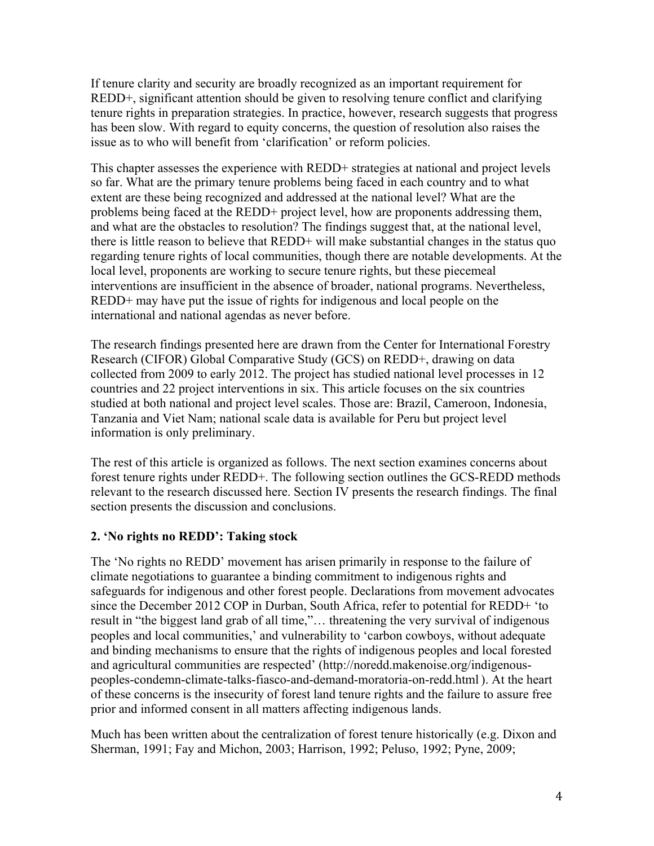If tenure clarity and security are broadly recognized as an important requirement for REDD+, significant attention should be given to resolving tenure conflict and clarifying tenure rights in preparation strategies. In practice, however, research suggests that progress has been slow. With regard to equity concerns, the question of resolution also raises the issue as to who will benefit from 'clarification' or reform policies.

This chapter assesses the experience with REDD+ strategies at national and project levels so far. What are the primary tenure problems being faced in each country and to what extent are these being recognized and addressed at the national level? What are the problems being faced at the REDD+ project level, how are proponents addressing them, and what are the obstacles to resolution? The findings suggest that, at the national level, there is little reason to believe that REDD+ will make substantial changes in the status quo regarding tenure rights of local communities, though there are notable developments. At the local level, proponents are working to secure tenure rights, but these piecemeal interventions are insufficient in the absence of broader, national programs. Nevertheless, REDD+ may have put the issue of rights for indigenous and local people on the international and national agendas as never before.

The research findings presented here are drawn from the Center for International Forestry Research (CIFOR) Global Comparative Study (GCS) on REDD+, drawing on data collected from 2009 to early 2012. The project has studied national level processes in 12 countries and 22 project interventions in six. This article focuses on the six countries studied at both national and project level scales. Those are: Brazil, Cameroon, Indonesia, Tanzania and Viet Nam; national scale data is available for Peru but project level information is only preliminary.

The rest of this article is organized as follows. The next section examines concerns about forest tenure rights under REDD+. The following section outlines the GCS-REDD methods relevant to the research discussed here. Section IV presents the research findings. The final section presents the discussion and conclusions.

# **2. 'No rights no REDD': Taking stock**

The 'No rights no REDD' movement has arisen primarily in response to the failure of climate negotiations to guarantee a binding commitment to indigenous rights and safeguards for indigenous and other forest people. Declarations from movement advocates since the December 2012 COP in Durban, South Africa, refer to potential for REDD+ 'to result in "the biggest land grab of all time,"… threatening the very survival of indigenous peoples and local communities,' and vulnerability to 'carbon cowboys, without adequate and binding mechanisms to ensure that the rights of indigenous peoples and local forested and agricultural communities are respected' (http://noredd.makenoise.org/indigenouspeoples-condemn-climate-talks-fiasco-and-demand-moratoria-on-redd.html ). At the heart of these concerns is the insecurity of forest land tenure rights and the failure to assure free prior and informed consent in all matters affecting indigenous lands.

Much has been written about the centralization of forest tenure historically (e.g. Dixon and Sherman, 1991; Fay and Michon, 2003; Harrison, 1992; Peluso, 1992; Pyne, 2009;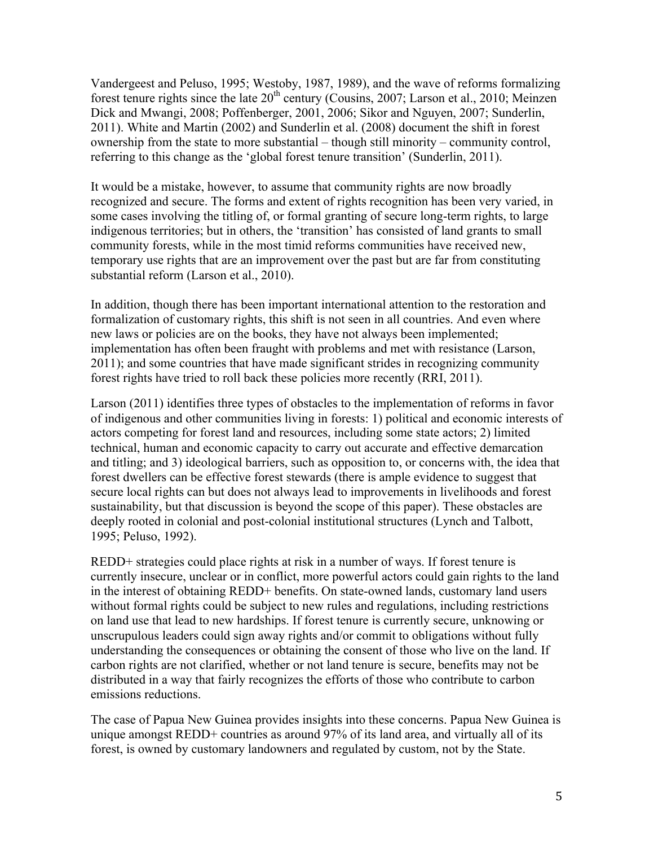Vandergeest and Peluso, 1995; Westoby, 1987, 1989), and the wave of reforms formalizing forest tenure rights since the late  $20<sup>th</sup>$  century (Cousins, 2007; Larson et al., 2010; Meinzen Dick and Mwangi, 2008; Poffenberger, 2001, 2006; Sikor and Nguyen, 2007; Sunderlin, 2011). White and Martin (2002) and Sunderlin et al. (2008) document the shift in forest ownership from the state to more substantial – though still minority – community control, referring to this change as the 'global forest tenure transition' (Sunderlin, 2011).

It would be a mistake, however, to assume that community rights are now broadly recognized and secure. The forms and extent of rights recognition has been very varied, in some cases involving the titling of, or formal granting of secure long-term rights, to large indigenous territories; but in others, the 'transition' has consisted of land grants to small community forests, while in the most timid reforms communities have received new, temporary use rights that are an improvement over the past but are far from constituting substantial reform (Larson et al., 2010).

In addition, though there has been important international attention to the restoration and formalization of customary rights, this shift is not seen in all countries. And even where new laws or policies are on the books, they have not always been implemented; implementation has often been fraught with problems and met with resistance (Larson, 2011); and some countries that have made significant strides in recognizing community forest rights have tried to roll back these policies more recently (RRI, 2011).

Larson (2011) identifies three types of obstacles to the implementation of reforms in favor of indigenous and other communities living in forests: 1) political and economic interests of actors competing for forest land and resources, including some state actors; 2) limited technical, human and economic capacity to carry out accurate and effective demarcation and titling; and 3) ideological barriers, such as opposition to, or concerns with, the idea that forest dwellers can be effective forest stewards (there is ample evidence to suggest that secure local rights can but does not always lead to improvements in livelihoods and forest sustainability, but that discussion is beyond the scope of this paper). These obstacles are deeply rooted in colonial and post-colonial institutional structures (Lynch and Talbott, 1995; Peluso, 1992).

REDD+ strategies could place rights at risk in a number of ways. If forest tenure is currently insecure, unclear or in conflict, more powerful actors could gain rights to the land in the interest of obtaining REDD+ benefits. On state-owned lands, customary land users without formal rights could be subject to new rules and regulations, including restrictions on land use that lead to new hardships. If forest tenure is currently secure, unknowing or unscrupulous leaders could sign away rights and/or commit to obligations without fully understanding the consequences or obtaining the consent of those who live on the land. If carbon rights are not clarified, whether or not land tenure is secure, benefits may not be distributed in a way that fairly recognizes the efforts of those who contribute to carbon emissions reductions.

The case of Papua New Guinea provides insights into these concerns. Papua New Guinea is unique amongst REDD+ countries as around 97% of its land area, and virtually all of its forest, is owned by customary landowners and regulated by custom, not by the State.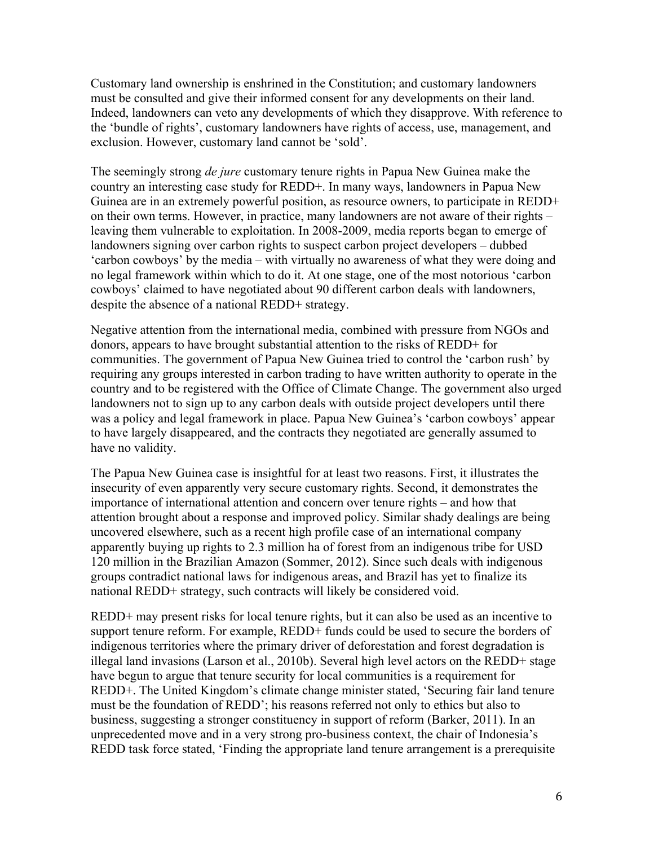Customary land ownership is enshrined in the Constitution; and customary landowners must be consulted and give their informed consent for any developments on their land. Indeed, landowners can veto any developments of which they disapprove. With reference to the 'bundle of rights', customary landowners have rights of access, use, management, and exclusion. However, customary land cannot be 'sold'.

The seemingly strong *de jure* customary tenure rights in Papua New Guinea make the country an interesting case study for REDD+. In many ways, landowners in Papua New Guinea are in an extremely powerful position, as resource owners, to participate in REDD+ on their own terms. However, in practice, many landowners are not aware of their rights – leaving them vulnerable to exploitation. In 2008-2009, media reports began to emerge of landowners signing over carbon rights to suspect carbon project developers – dubbed 'carbon cowboys' by the media – with virtually no awareness of what they were doing and no legal framework within which to do it. At one stage, one of the most notorious 'carbon cowboys' claimed to have negotiated about 90 different carbon deals with landowners, despite the absence of a national REDD+ strategy.

Negative attention from the international media, combined with pressure from NGOs and donors, appears to have brought substantial attention to the risks of REDD+ for communities. The government of Papua New Guinea tried to control the 'carbon rush' by requiring any groups interested in carbon trading to have written authority to operate in the country and to be registered with the Office of Climate Change. The government also urged landowners not to sign up to any carbon deals with outside project developers until there was a policy and legal framework in place. Papua New Guinea's 'carbon cowboys' appear to have largely disappeared, and the contracts they negotiated are generally assumed to have no validity.

The Papua New Guinea case is insightful for at least two reasons. First, it illustrates the insecurity of even apparently very secure customary rights. Second, it demonstrates the importance of international attention and concern over tenure rights – and how that attention brought about a response and improved policy. Similar shady dealings are being uncovered elsewhere, such as a recent high profile case of an international company apparently buying up rights to 2.3 million ha of forest from an indigenous tribe for USD 120 million in the Brazilian Amazon (Sommer, 2012). Since such deals with indigenous groups contradict national laws for indigenous areas, and Brazil has yet to finalize its national REDD+ strategy, such contracts will likely be considered void.

REDD+ may present risks for local tenure rights, but it can also be used as an incentive to support tenure reform. For example, REDD+ funds could be used to secure the borders of indigenous territories where the primary driver of deforestation and forest degradation is illegal land invasions (Larson et al., 2010b). Several high level actors on the REDD+ stage have begun to argue that tenure security for local communities is a requirement for REDD+. The United Kingdom's climate change minister stated, 'Securing fair land tenure must be the foundation of REDD'; his reasons referred not only to ethics but also to business, suggesting a stronger constituency in support of reform (Barker, 2011). In an unprecedented move and in a very strong pro-business context, the chair of Indonesia's REDD task force stated, 'Finding the appropriate land tenure arrangement is a prerequisite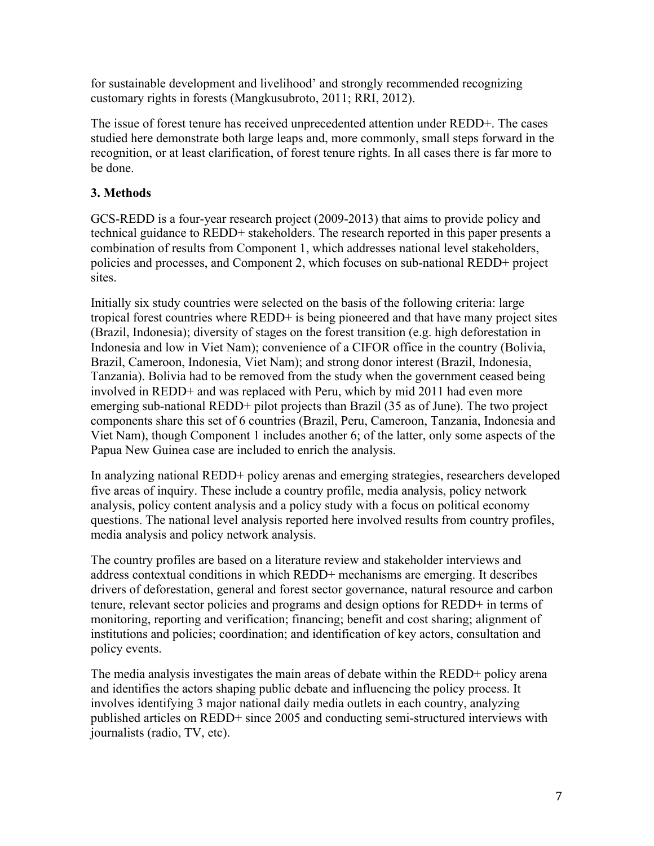for sustainable development and livelihood' and strongly recommended recognizing customary rights in forests (Mangkusubroto, 2011; RRI, 2012).

The issue of forest tenure has received unprecedented attention under REDD+. The cases studied here demonstrate both large leaps and, more commonly, small steps forward in the recognition, or at least clarification, of forest tenure rights. In all cases there is far more to be done.

# **3. Methods**

GCS-REDD is a four-year research project (2009-2013) that aims to provide policy and technical guidance to REDD+ stakeholders. The research reported in this paper presents a combination of results from Component 1, which addresses national level stakeholders, policies and processes, and Component 2, which focuses on sub-national REDD+ project sites.

Initially six study countries were selected on the basis of the following criteria: large tropical forest countries where REDD+ is being pioneered and that have many project sites (Brazil, Indonesia); diversity of stages on the forest transition (e.g. high deforestation in Indonesia and low in Viet Nam); convenience of a CIFOR office in the country (Bolivia, Brazil, Cameroon, Indonesia, Viet Nam); and strong donor interest (Brazil, Indonesia, Tanzania). Bolivia had to be removed from the study when the government ceased being involved in REDD+ and was replaced with Peru, which by mid 2011 had even more emerging sub-national REDD+ pilot projects than Brazil (35 as of June). The two project components share this set of 6 countries (Brazil, Peru, Cameroon, Tanzania, Indonesia and Viet Nam), though Component 1 includes another 6; of the latter, only some aspects of the Papua New Guinea case are included to enrich the analysis.

In analyzing national REDD+ policy arenas and emerging strategies, researchers developed five areas of inquiry. These include a country profile, media analysis, policy network analysis, policy content analysis and a policy study with a focus on political economy questions. The national level analysis reported here involved results from country profiles, media analysis and policy network analysis.

The country profiles are based on a literature review and stakeholder interviews and address contextual conditions in which REDD+ mechanisms are emerging. It describes drivers of deforestation, general and forest sector governance, natural resource and carbon tenure, relevant sector policies and programs and design options for REDD+ in terms of monitoring, reporting and verification; financing; benefit and cost sharing; alignment of institutions and policies; coordination; and identification of key actors, consultation and policy events.

The media analysis investigates the main areas of debate within the REDD+ policy arena and identifies the actors shaping public debate and influencing the policy process. It involves identifying 3 major national daily media outlets in each country, analyzing published articles on REDD+ since 2005 and conducting semi-structured interviews with journalists (radio, TV, etc).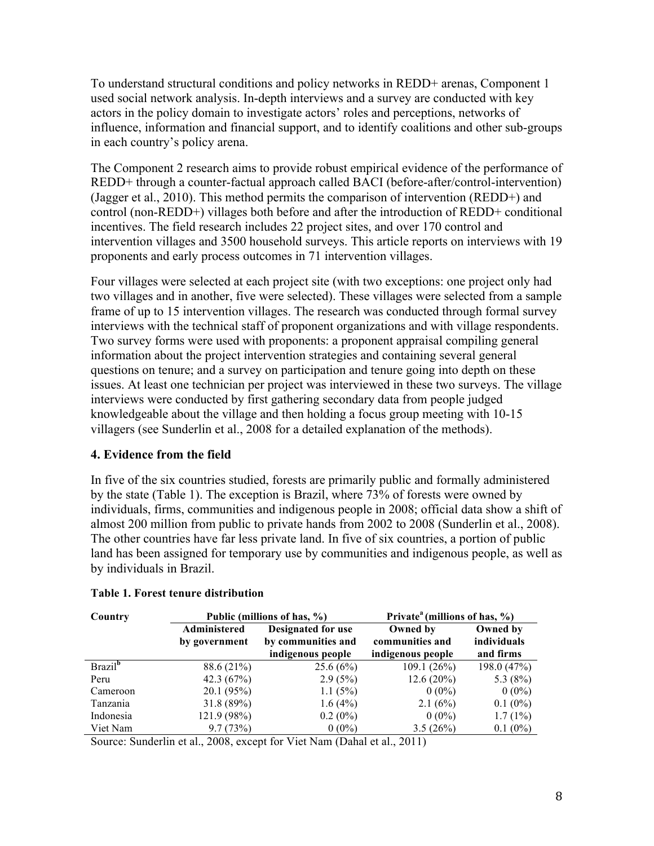To understand structural conditions and policy networks in REDD+ arenas, Component 1 used social network analysis. In-depth interviews and a survey are conducted with key actors in the policy domain to investigate actors' roles and perceptions, networks of influence, information and financial support, and to identify coalitions and other sub-groups in each country's policy arena.

The Component 2 research aims to provide robust empirical evidence of the performance of REDD+ through a counter-factual approach called BACI (before-after/control-intervention) (Jagger et al., 2010). This method permits the comparison of intervention (REDD+) and control (non-REDD+) villages both before and after the introduction of REDD+ conditional incentives. The field research includes 22 project sites, and over 170 control and intervention villages and 3500 household surveys. This article reports on interviews with 19 proponents and early process outcomes in 71 intervention villages.

Four villages were selected at each project site (with two exceptions: one project only had two villages and in another, five were selected). These villages were selected from a sample frame of up to 15 intervention villages. The research was conducted through formal survey interviews with the technical staff of proponent organizations and with village respondents. Two survey forms were used with proponents: a proponent appraisal compiling general information about the project intervention strategies and containing several general questions on tenure; and a survey on participation and tenure going into depth on these issues. At least one technician per project was interviewed in these two surveys. The village interviews were conducted by first gathering secondary data from people judged knowledgeable about the village and then holding a focus group meeting with 10-15 villagers (see Sunderlin et al., 2008 for a detailed explanation of the methods).

# **4. Evidence from the field**

In five of the six countries studied, forests are primarily public and formally administered by the state (Table 1). The exception is Brazil, where 73% of forests were owned by individuals, firms, communities and indigenous people in 2008; official data show a shift of almost 200 million from public to private hands from 2002 to 2008 (Sunderlin et al., 2008). The other countries have far less private land. In five of six countries, a portion of public land has been assigned for temporary use by communities and indigenous people, as well as by individuals in Brazil.

| Country             | Public (millions of has, %)   |                                                               | Private <sup>a</sup> (millions of has, $\%$ )    |                                      |
|---------------------|-------------------------------|---------------------------------------------------------------|--------------------------------------------------|--------------------------------------|
|                     | Administered<br>by government | Designated for use<br>by communities and<br>indigenous people | Owned by<br>communities and<br>indigenous people | Owned by<br>individuals<br>and firms |
| Brazil <sup>b</sup> | 88.6 (21%)                    | 25.6(6%)                                                      | 109.1(26%)                                       | 198.0 (47%)                          |
| Peru                | 42.3 $(67%)$                  | 2.9(5%)                                                       | $12.6(20\%)$                                     | 5.3 $(8%)$                           |
| Cameroon            | 20.1(95%)                     | 1.1(5%)                                                       | $0(0\%)$                                         | $0(0\%)$                             |
| Tanzania            | 31.8(89%)                     | $1.6(4\%)$                                                    | 2.1(6%)                                          | $0.1(0\%)$                           |
| Indonesia           | 121.9 (98%)                   | $0.2(0\%)$                                                    | $0(0\%)$                                         | $1.7(1\%)$                           |
| Viet Nam            | 9.7(73%)                      | $0(0\%)$                                                      | 3.5(26%)                                         | $0.1(0\%)$                           |

## **Table 1. Forest tenure distribution**

Source: Sunderlin et al., 2008, except for Viet Nam (Dahal et al., 2011)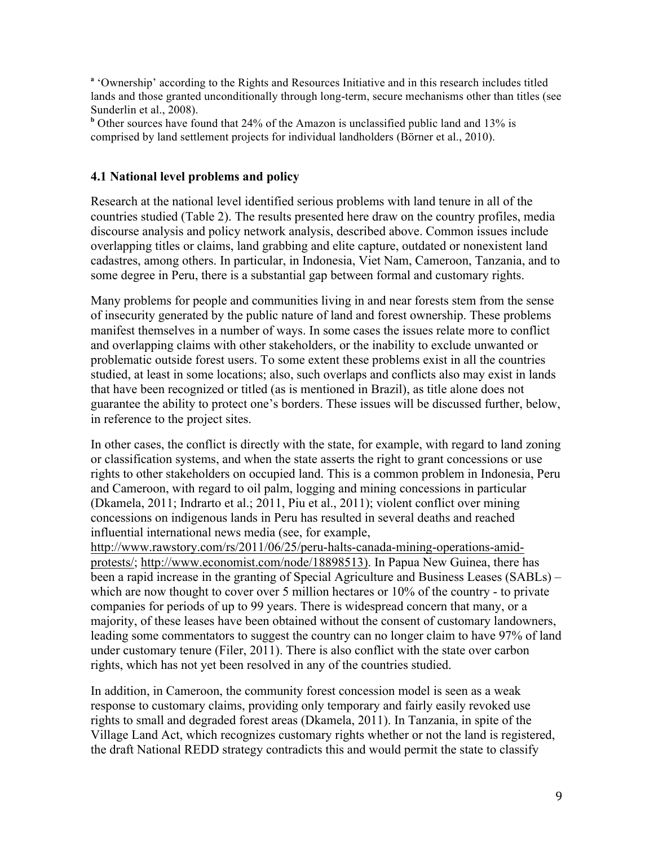**<sup>a</sup>** 'Ownership' according to the Rights and Resources Initiative and in this research includes titled lands and those granted unconditionally through long-term, secure mechanisms other than titles (see Sunderlin et al., 2008).

**b** Other sources have found that 24% of the Amazon is unclassified public land and 13% is comprised by land settlement projects for individual landholders (Börner et al., 2010).

## **4.1 National level problems and policy**

Research at the national level identified serious problems with land tenure in all of the countries studied (Table 2). The results presented here draw on the country profiles, media discourse analysis and policy network analysis, described above. Common issues include overlapping titles or claims, land grabbing and elite capture, outdated or nonexistent land cadastres, among others. In particular, in Indonesia, Viet Nam, Cameroon, Tanzania, and to some degree in Peru, there is a substantial gap between formal and customary rights.

Many problems for people and communities living in and near forests stem from the sense of insecurity generated by the public nature of land and forest ownership. These problems manifest themselves in a number of ways. In some cases the issues relate more to conflict and overlapping claims with other stakeholders, or the inability to exclude unwanted or problematic outside forest users. To some extent these problems exist in all the countries studied, at least in some locations; also, such overlaps and conflicts also may exist in lands that have been recognized or titled (as is mentioned in Brazil), as title alone does not guarantee the ability to protect one's borders. These issues will be discussed further, below, in reference to the project sites.

In other cases, the conflict is directly with the state, for example, with regard to land zoning or classification systems, and when the state asserts the right to grant concessions or use rights to other stakeholders on occupied land. This is a common problem in Indonesia, Peru and Cameroon, with regard to oil palm, logging and mining concessions in particular (Dkamela, 2011; Indrarto et al.; 2011, Piu et al., 2011); violent conflict over mining concessions on indigenous lands in Peru has resulted in several deaths and reached influential international news media (see, for example,

http://www.rawstory.com/rs/2011/06/25/peru-halts-canada-mining-operations-amidprotests/; http://www.economist.com/node/18898513). In Papua New Guinea, there has been a rapid increase in the granting of Special Agriculture and Business Leases (SABLs) – which are now thought to cover over 5 million hectares or 10% of the country - to private companies for periods of up to 99 years. There is widespread concern that many, or a majority, of these leases have been obtained without the consent of customary landowners, leading some commentators to suggest the country can no longer claim to have 97% of land under customary tenure (Filer, 2011). There is also conflict with the state over carbon rights, which has not yet been resolved in any of the countries studied.

In addition, in Cameroon, the community forest concession model is seen as a weak response to customary claims, providing only temporary and fairly easily revoked use rights to small and degraded forest areas (Dkamela, 2011). In Tanzania, in spite of the Village Land Act, which recognizes customary rights whether or not the land is registered, the draft National REDD strategy contradicts this and would permit the state to classify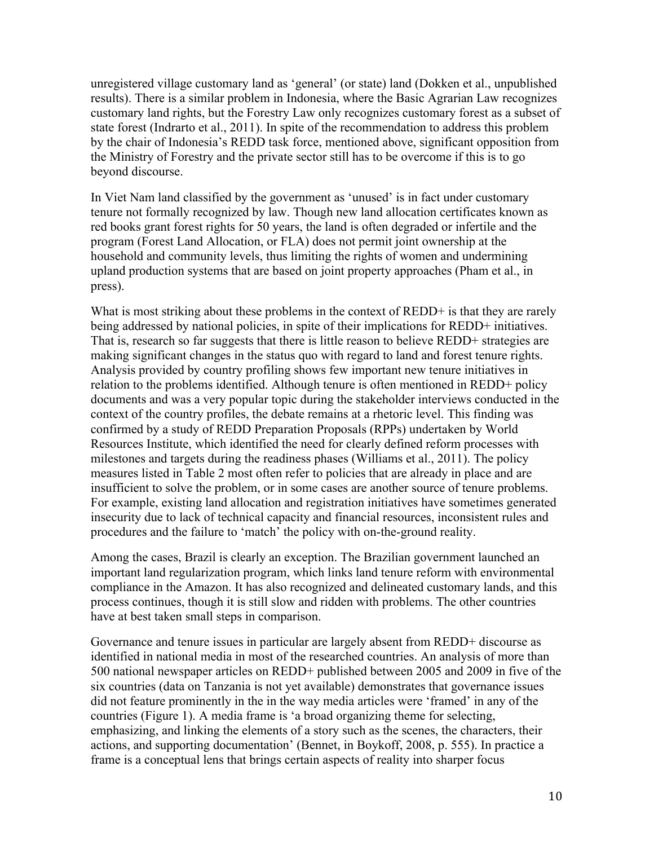unregistered village customary land as 'general' (or state) land (Dokken et al., unpublished results). There is a similar problem in Indonesia, where the Basic Agrarian Law recognizes customary land rights, but the Forestry Law only recognizes customary forest as a subset of state forest (Indrarto et al., 2011). In spite of the recommendation to address this problem by the chair of Indonesia's REDD task force, mentioned above, significant opposition from the Ministry of Forestry and the private sector still has to be overcome if this is to go beyond discourse.

In Viet Nam land classified by the government as 'unused' is in fact under customary tenure not formally recognized by law. Though new land allocation certificates known as red books grant forest rights for 50 years, the land is often degraded or infertile and the program (Forest Land Allocation, or FLA) does not permit joint ownership at the household and community levels, thus limiting the rights of women and undermining upland production systems that are based on joint property approaches (Pham et al., in press).

What is most striking about these problems in the context of REDD+ is that they are rarely being addressed by national policies, in spite of their implications for REDD+ initiatives. That is, research so far suggests that there is little reason to believe REDD+ strategies are making significant changes in the status quo with regard to land and forest tenure rights. Analysis provided by country profiling shows few important new tenure initiatives in relation to the problems identified. Although tenure is often mentioned in REDD+ policy documents and was a very popular topic during the stakeholder interviews conducted in the context of the country profiles, the debate remains at a rhetoric level. This finding was confirmed by a study of REDD Preparation Proposals (RPPs) undertaken by World Resources Institute, which identified the need for clearly defined reform processes with milestones and targets during the readiness phases (Williams et al., 2011). The policy measures listed in Table 2 most often refer to policies that are already in place and are insufficient to solve the problem, or in some cases are another source of tenure problems. For example, existing land allocation and registration initiatives have sometimes generated insecurity due to lack of technical capacity and financial resources, inconsistent rules and procedures and the failure to 'match' the policy with on-the-ground reality.

Among the cases, Brazil is clearly an exception. The Brazilian government launched an important land regularization program, which links land tenure reform with environmental compliance in the Amazon. It has also recognized and delineated customary lands, and this process continues, though it is still slow and ridden with problems. The other countries have at best taken small steps in comparison.

Governance and tenure issues in particular are largely absent from REDD+ discourse as identified in national media in most of the researched countries. An analysis of more than 500 national newspaper articles on REDD+ published between 2005 and 2009 in five of the six countries (data on Tanzania is not yet available) demonstrates that governance issues did not feature prominently in the in the way media articles were 'framed' in any of the countries (Figure 1). A media frame is 'a broad organizing theme for selecting, emphasizing, and linking the elements of a story such as the scenes, the characters, their actions, and supporting documentation' (Bennet, in Boykoff, 2008, p. 555). In practice a frame is a conceptual lens that brings certain aspects of reality into sharper focus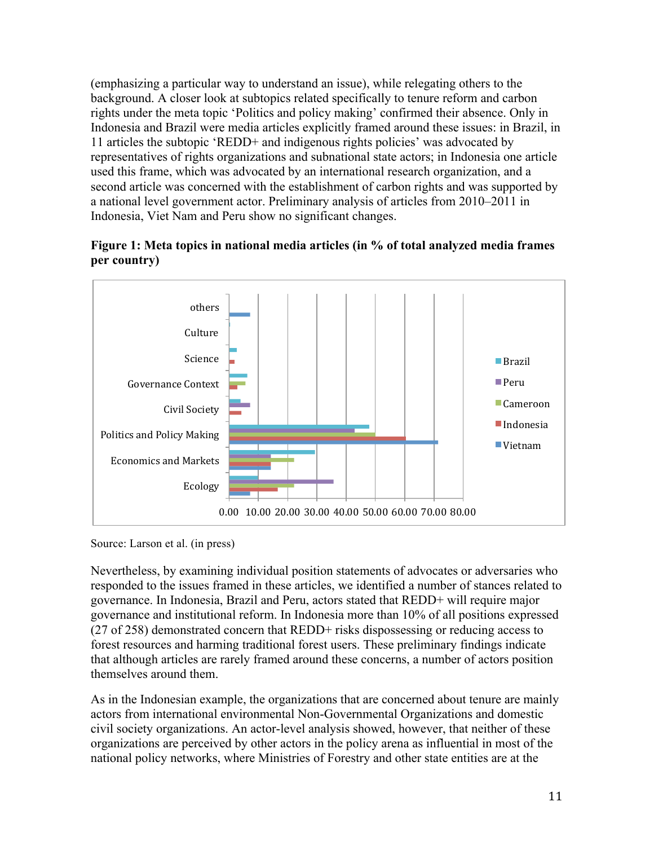(emphasizing a particular way to understand an issue), while relegating others to the background. A closer look at subtopics related specifically to tenure reform and carbon rights under the meta topic 'Politics and policy making' confirmed their absence. Only in Indonesia and Brazil were media articles explicitly framed around these issues: in Brazil, in 11 articles the subtopic 'REDD+ and indigenous rights policies' was advocated by representatives of rights organizations and subnational state actors; in Indonesia one article used this frame, which was advocated by an international research organization, and a second article was concerned with the establishment of carbon rights and was supported by a national level government actor. Preliminary analysis of articles from 2010–2011 in Indonesia, Viet Nam and Peru show no significant changes.



## **Figure 1: Meta topics in national media articles (in % of total analyzed media frames per country)**

Source: Larson et al. (in press)

Economics and Markets 

Ecology 

Nevertheless, by examining individual position statements of advocates or adversaries who responded to the issues framed in these articles, we identified a number of stances related to governance. In Indonesia, Brazil and Peru, actors stated that REDD+ will require major governance and institutional reform. In Indonesia more than 10% of all positions expressed (27 of 258) demonstrated concern that REDD+ risks dispossessing or reducing access to forest resources and harming traditional forest users. These preliminary findings indicate that although articles are rarely framed around these concerns, a number of actors position themselves around them.

0.00 10.00 20.00 30.00 40.00 50.00 60.00 70.00 80.00 

As in the Indonesian example, the organizations that are concerned about tenure are mainly actors from international environmental Non-Governmental Organizations and domestic civil society organizations. An actor-level analysis showed, however, that neither of these organizations are perceived by other actors in the policy arena as influential in most of the national policy networks, where Ministries of Forestry and other state entities are at the